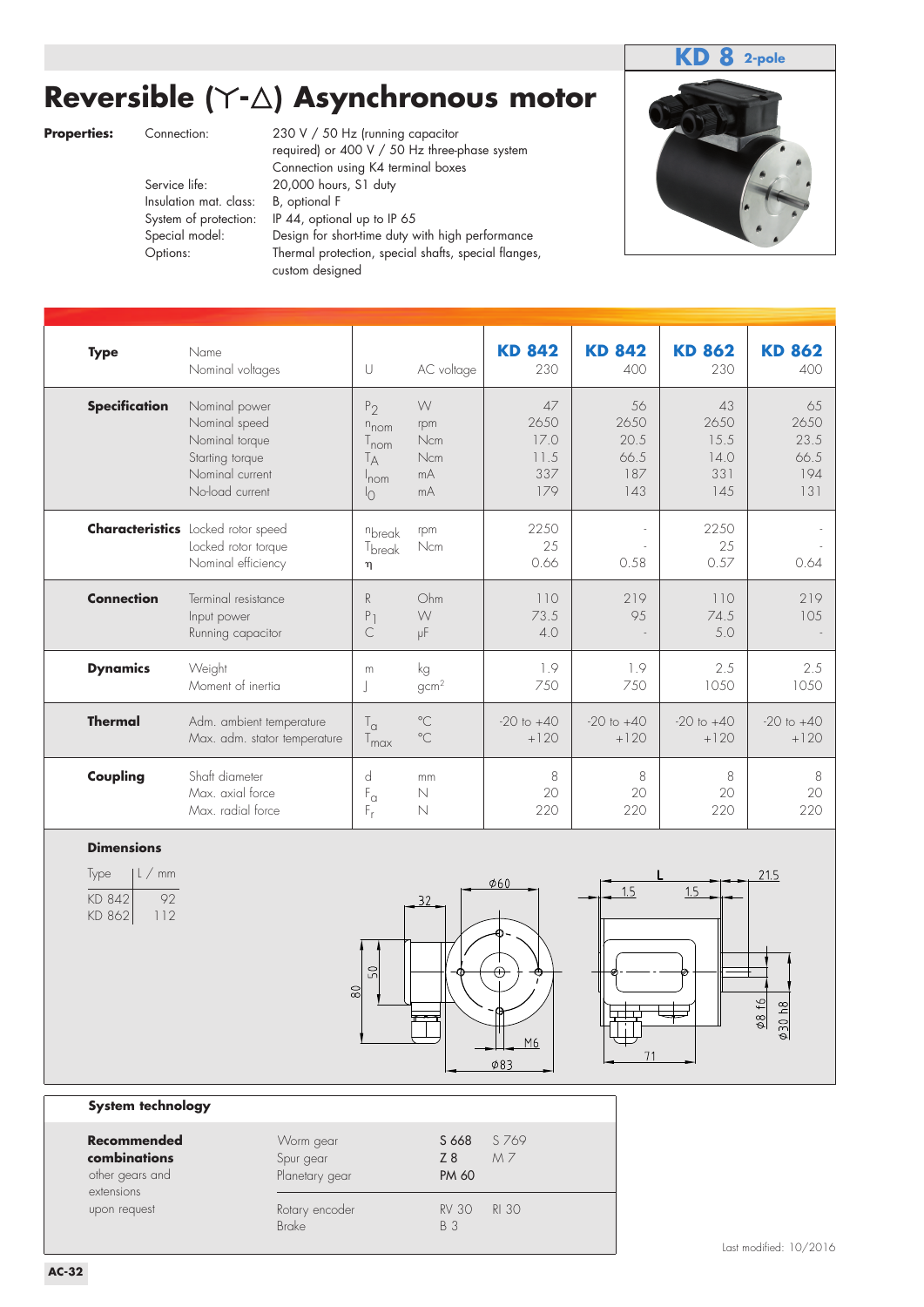### **KD 8 2-pole**

# **Reversible (**-**-**-**) Asynchronous motor**

Insulation mat. class:

**Properties:** Connection: 230 V / 50 Hz (running capacitor required) or 400 V / 50 Hz three-phase system Connection using K4 terminal boxes Service life: 20,000 hours, S1 duty<br>Insulation mat. class: B, optional F System of protection: IP 44, optional up to IP 65 Special model: Design for short-time duty with high performance Options: Thermal protection, special shafts, special flanges, custom designed



| <b>Type</b>          | Name<br>Nominal voltages                                                                                  | U                                                                                         | AC voltage                                       | <b>KD 842</b><br>230                     | <b>KD 842</b><br>400                     | <b>KD 862</b><br>230                     | <b>KD 862</b><br>400                     |
|----------------------|-----------------------------------------------------------------------------------------------------------|-------------------------------------------------------------------------------------------|--------------------------------------------------|------------------------------------------|------------------------------------------|------------------------------------------|------------------------------------------|
| <b>Specification</b> | Nominal power<br>Nominal speed<br>Nominal torque<br>Starting torque<br>Nominal current<br>No-load current | P <sub>2</sub><br>$n_{\text{nom}}$<br>$T_{\text{nom}}$<br>Tд<br>$'$ nom<br>$\overline{O}$ | W<br>rpm<br><b>Ncm</b><br><b>Ncm</b><br>mA<br>mA | 47<br>2650<br>17.0<br>11.5<br>337<br>179 | 56<br>2650<br>20.5<br>66.5<br>187<br>143 | 43<br>2650<br>15.5<br>14.0<br>331<br>145 | 65<br>2650<br>23.5<br>66.5<br>194<br>131 |
|                      | <b>Characteristics</b> Locked rotor speed<br>Locked rotor torque<br>Nominal efficiency                    | nbreak<br>T <sub>break</sub><br>$\eta$                                                    | rpm<br><b>Ncm</b>                                | 2250<br>25<br>0.66                       | 0.58                                     | 2250<br>25<br>0.57                       | 0.64                                     |
| <b>Connection</b>    | Terminal resistance<br>Input power<br>Running capacitor                                                   | R<br>P <sub>1</sub><br>C                                                                  | Ohm<br>W<br>μF                                   | 110<br>73.5<br>4.0                       | 219<br>95                                | 110<br>74.5<br>5.0                       | 219<br>105                               |
| <b>Dynamics</b>      | Weight<br>Moment of inertia                                                                               | m                                                                                         | kg<br>gcm <sup>2</sup>                           | 1.9<br>750                               | 1.9<br>750                               | 2.5<br>1050                              | 2.5<br>1050                              |
| <b>Thermal</b>       | Adm. ambient temperature<br>Max. adm. stator temperature                                                  | $T_{\alpha}$<br>$T_{\text{max}}$                                                          | $^{\circ}$ C<br>$^{\circ}$ C                     | $-20$ to $+40$<br>$+120$                 | $-20$ to $+40$<br>$+120$                 | $-20$ to $+40$<br>$+120$                 | $-20$ to $+40$<br>$+120$                 |
| Coupling             | Shaft diameter<br>Max. axial force<br>Max. radial force                                                   | d<br>$F_{\alpha}$<br>$F_r$                                                                | mm<br>N<br>N                                     | 8<br>20<br>220                           | 8<br>20<br>220                           | 8<br>20<br>220                           | 8<br>20<br>220                           |

### **Dimensions**

| lype             | $ L/$ mm |
|------------------|----------|
| KD 842<br>KD 862 | UV.      |
|                  | $\Box$   |





#### **System technology**

| Recommended<br>combinations<br>other gears and<br>extensions | Worm gear<br>Spur gear<br>Planetary gear | S 769<br>S 668<br>MZ<br>Z8<br><b>PM 60</b> |  |
|--------------------------------------------------------------|------------------------------------------|--------------------------------------------|--|
| upon request                                                 | Rotary encoder<br><b>Brake</b>           | <b>RI 30</b><br><b>RV 30</b><br>B 3        |  |